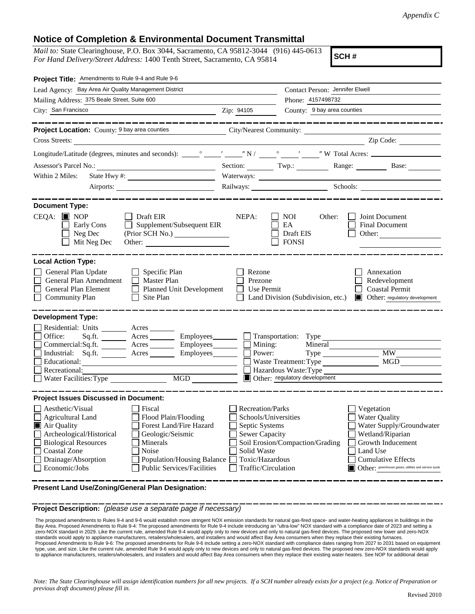## **Notice of Completion & Environmental Document Transmittal**

*Mail to:* State Clearinghouse, P.O. Box 3044, Sacramento, CA 95812-3044 (916) 445-0613 *For Hand Delivery/Street Address:* 1400 Tenth Street, Sacramento, CA 95814

**SCH #**

| Project Title: Amendments to Rule 9-4 and Rule 9-6                                         |                                                                       |                                   |                                                        |
|--------------------------------------------------------------------------------------------|-----------------------------------------------------------------------|-----------------------------------|--------------------------------------------------------|
| Lead Agency: Bay Area Air Quality Management District                                      |                                                                       | Contact Person: Jennifer Elwell   |                                                        |
| Mailing Address: 375 Beale Street, Suite 600                                               | Phone: 4157498732                                                     |                                   |                                                        |
| City: San Francisco                                                                        | Zip: 94105                                                            | County: 9 bay area counties       |                                                        |
|                                                                                            |                                                                       |                                   |                                                        |
|                                                                                            |                                                                       |                                   |                                                        |
| Cross Streets:                                                                             |                                                                       |                                   | Zip Code:                                              |
|                                                                                            |                                                                       |                                   |                                                        |
|                                                                                            |                                                                       |                                   | Section: Twp.: Range: Base:                            |
| Within 2 Miles:                                                                            |                                                                       | Waterways:                        |                                                        |
| Airports:                                                                                  |                                                                       |                                   | Railways: Schools: Schools:                            |
|                                                                                            |                                                                       |                                   |                                                        |
| <b>Document Type:</b>                                                                      |                                                                       |                                   |                                                        |
| $CEQA:$ MOP<br>Draft EIR                                                                   | NEPA:                                                                 | <b>NOI</b><br>Other:              | Joint Document<br>$\mathbf{I}$                         |
| Supplement/Subsequent EIR<br>Early Cons                                                    |                                                                       | EA                                | <b>Final Document</b>                                  |
| Neg Dec                                                                                    |                                                                       | Draft EIS                         | Other:                                                 |
| Mit Neg Dec<br>Other:                                                                      |                                                                       | <b>FONSI</b>                      |                                                        |
|                                                                                            |                                                                       |                                   |                                                        |
| <b>Local Action Type:</b>                                                                  |                                                                       |                                   |                                                        |
| General Plan Update<br>$\Box$ Specific Plan                                                | Rezone                                                                |                                   | Annexation                                             |
| General Plan Amendment<br>Master Plan                                                      | Prezone<br>Redevelopment<br>Use Permit                                |                                   |                                                        |
| General Plan Element<br>Planned Unit Development<br>Community Plan<br>Site Plan<br>$\perp$ | $\mathbf{L}$                                                          | Land Division (Subdivision, etc.) | <b>Coastal Permit</b><br>Other: regulatory development |
|                                                                                            |                                                                       |                                   |                                                        |
| <b>Development Type:</b>                                                                   |                                                                       |                                   |                                                        |
| Residential: Units ________ Acres                                                          |                                                                       |                                   |                                                        |
| Office:<br>Acres _________ Employees ________ __ Transportation: Type<br>Sq.ft. $\qquad$   |                                                                       |                                   |                                                        |
| Commercial:Sq.ft. ________ Acres __________ Employees_________ $\Box$                      | Mining:                                                               | Mineral                           |                                                        |
| Industrial: Sq.ft. _______ Acres ________ Employees_______                                 | Power:<br>$\overline{\phantom{a}}$                                    | $Type \_$                         | <b>MW</b>                                              |
| Educational:                                                                               |                                                                       | Waste Treatment: Type             | MGD                                                    |
| Recreational:                                                                              |                                                                       | Hazardous Waste: Type             |                                                        |
|                                                                                            |                                                                       | Other: regulatory development     |                                                        |
|                                                                                            |                                                                       |                                   |                                                        |
| <b>Project Issues Discussed in Document:</b>                                               |                                                                       |                                   |                                                        |
| Aesthetic/Visual<br>Fiscal                                                                 | <b>Recreation/Parks</b>                                               |                                   | Vegetation                                             |
| $\Box$ Agricultural Land<br>Flood Plain/Flooding<br>Forest Land/Fire Hazard                |                                                                       | Schools/Universities              | <b>Water Quality</b><br>Water Supply/Groundwater       |
| Air Quality<br>Geologic/Seismic<br>Archeological/Historical                                |                                                                       | Septic Systems                    |                                                        |
| <b>Biological Resources</b><br>Minerals                                                    | Sewer Capacity<br>Wetland/Riparian<br>Soil Erosion/Compaction/Grading |                                   | Growth Inducement                                      |
| <b>Coastal Zone</b><br>Noise                                                               | Solid Waste                                                           |                                   | Land Use                                               |
| Drainage/Absorption<br><b>Population/Housing Balance</b>                                   | Toxic/Hazardous                                                       |                                   | <b>Cumulative Effects</b>                              |
| Economic/Jobs<br><b>Public Services/Facilities</b>                                         | Traffic/Circulation                                                   |                                   | Other: greenhouse gases; utilities and service syste   |
|                                                                                            |                                                                       |                                   |                                                        |

**Present Land Use/Zoning/General Plan Designation:**

**Project Description:** *(please use a separate page if necessary)*

 The proposed amendments to Rules 9-4 and 9-6 would establish more stringent NOX emission standards for natural gas-fired space- and water-heating appliances in buildings in the Bay Area. Proposed Amendments to Rule 9-4: The proposed amendments for Rule 9-4 include introducing an "ultra-low" NOX standard with a compliance date of 2023 and setting a zero-NOX standard in 2029. Like the current rule, amended Rule 9-4 would apply only to new devices and only to natural gas-fired devices. The proposed new lower and zero-NOX standards would apply to appliance manufacturers, retailers/wholesalers, and installers and would affect Bay Area consumers when they replace their existing furnaces. Proposed Amendments to Rule 9-6: The proposed amendments for Rule 9-6 include setting a zero-NOX standard with compliance dates ranging from 2027 to 2031 based on equipment<br>type, use, and size. Like the current rule, amend to appliance manufacturers, retailers/wholesalers, and installers and would affect Bay Area consumers when they replace their existing water heaters. See NOP for additional detail

*Note: The State Clearinghouse will assign identification numbers for all new projects. If a SCH number already exists for a project (e.g. Notice of Preparation or previous draft document) please fill in.*